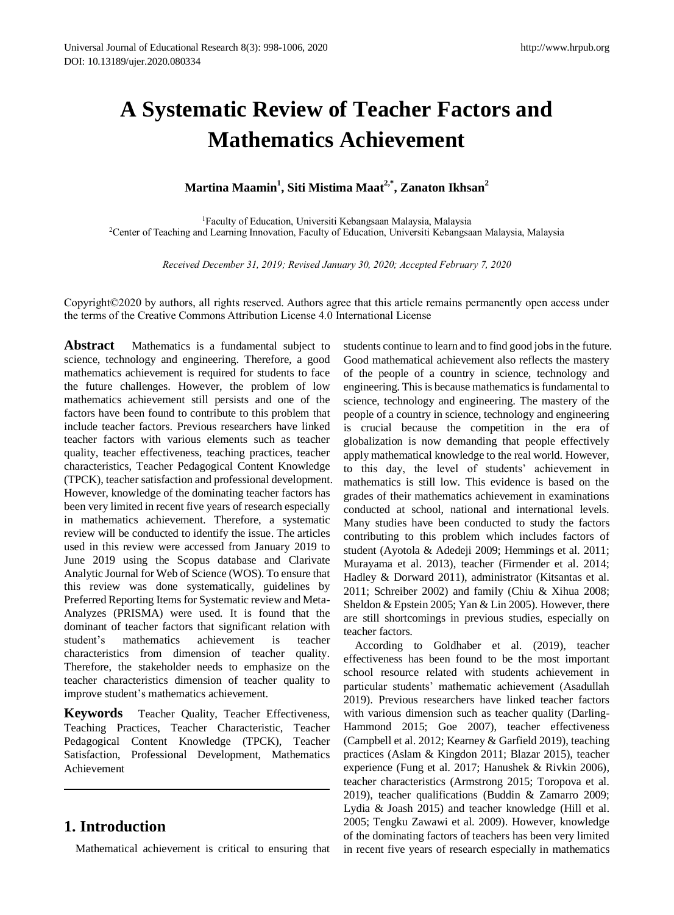# **A Systematic Review of Teacher Factors and Mathematics Achievement**

# **Martina Maamin<sup>1</sup> , Siti Mistima Maat2,\* , Zanaton Ikhsan<sup>2</sup>**

<sup>1</sup>Faculty of Education, Universiti Kebangsaan Malaysia, Malaysia <sup>2</sup>Center of Teaching and Learning Innovation, Faculty of Education, Universiti Kebangsaan Malaysia, Malaysia

*Received December 31, 2019; Revised January 30, 2020; Accepted February 7, 2020*

Copyright©2020 by authors, all rights reserved. Authors agree that this article remains permanently open access under the terms of the Creative Commons Attribution License 4.0 International License

**Abstract** Mathematics is a fundamental subject to science, technology and engineering. Therefore, a good mathematics achievement is required for students to face the future challenges. However, the problem of low mathematics achievement still persists and one of the factors have been found to contribute to this problem that include teacher factors. Previous researchers have linked teacher factors with various elements such as teacher quality, teacher effectiveness, teaching practices, teacher characteristics, Teacher Pedagogical Content Knowledge (TPCK), teacher satisfaction and professional development. However, knowledge of the dominating teacher factors has been very limited in recent five years of research especially in mathematics achievement. Therefore, a systematic review will be conducted to identify the issue. The articles used in this review were accessed from January 2019 to June 2019 using the Scopus database and Clarivate Analytic Journal for Web of Science (WOS). To ensure that this review was done systematically, guidelines by Preferred Reporting Items for Systematic review and Meta-Analyzes (PRISMA) were used. It is found that the dominant of teacher factors that significant relation with student's mathematics achievement is teacher characteristics from dimension of teacher quality. Therefore, the stakeholder needs to emphasize on the teacher characteristics dimension of teacher quality to improve student's mathematics achievement.

**Keywords** Teacher Quality, Teacher Effectiveness, Teaching Practices, Teacher Characteristic, Teacher Pedagogical Content Knowledge (TPCK), Teacher Satisfaction, Professional Development, Mathematics Achievement

# **1. Introduction**

Mathematical achievement is critical to ensuring that

students continue to learn and to find good jobs in the future. Good mathematical achievement also reflects the mastery of the people of a country in science, technology and engineering. This is because mathematics is fundamental to science, technology and engineering. The mastery of the people of a country in science, technology and engineering is crucial because the competition in the era of globalization is now demanding that people effectively apply mathematical knowledge to the real world. However, to this day, the level of students' achievement in mathematics is still low. This evidence is based on the grades of their mathematics achievement in examinations conducted at school, national and international levels. Many studies have been conducted to study the factors contributing to this problem which includes factors of student (Ayotola & Adedeji 2009; Hemmings et al. 2011; Murayama et al. 2013), teacher (Firmender et al. 2014; Hadley & Dorward 2011), administrator (Kitsantas et al. 2011; Schreiber 2002) and family (Chiu & Xihua 2008; Sheldon & Epstein 2005; Yan & Lin 2005). However, there are still shortcomings in previous studies, especially on teacher factors.

According to Goldhaber et al. (2019), teacher effectiveness has been found to be the most important school resource related with students achievement in particular students' mathematic achievement (Asadullah 2019). Previous researchers have linked teacher factors with various dimension such as teacher quality (Darling-Hammond 2015; Goe 2007), teacher effectiveness (Campbell et al. 2012; Kearney & Garfield 2019), teaching practices (Aslam & Kingdon 2011; Blazar 2015), teacher experience (Fung et al. 2017; Hanushek & Rivkin 2006), teacher characteristics (Armstrong 2015; Toropova et al. 2019), teacher qualifications (Buddin & Zamarro 2009; Lydia & Joash 2015) and teacher knowledge (Hill et al. 2005; Tengku Zawawi et al. 2009). However, knowledge of the dominating factors of teachers has been very limited in recent five years of research especially in mathematics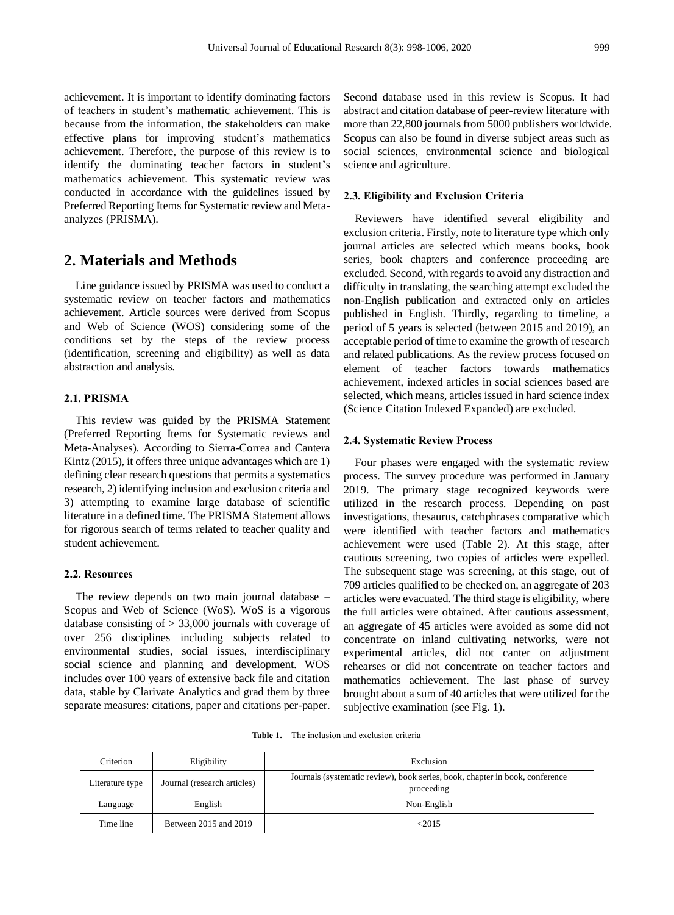achievement. It is important to identify dominating factors of teachers in student's mathematic achievement. This is because from the information, the stakeholders can make effective plans for improving student's mathematics achievement. Therefore, the purpose of this review is to identify the dominating teacher factors in student's mathematics achievement. This systematic review was conducted in accordance with the guidelines issued by Preferred Reporting Items for Systematic review and Metaanalyzes (PRISMA).

# **2. Materials and Methods**

Line guidance issued by PRISMA was used to conduct a systematic review on teacher factors and mathematics achievement. Article sources were derived from Scopus and Web of Science (WOS) considering some of the conditions set by the steps of the review process (identification, screening and eligibility) as well as data abstraction and analysis.

## **2.1. PRISMA**

This review was guided by the PRISMA Statement (Preferred Reporting Items for Systematic reviews and Meta-Analyses). According to Sierra-Correa and Cantera Kintz (2015), it offers three unique advantages which are 1) defining clear research questions that permits a systematics research, 2) identifying inclusion and exclusion criteria and 3) attempting to examine large database of scientific literature in a defined time. The PRISMA Statement allows for rigorous search of terms related to teacher quality and student achievement.

#### **2.2. Resources**

The review depends on two main journal database – Scopus and Web of Science (WoS). WoS is a vigorous database consisting of > 33,000 journals with coverage of over 256 disciplines including subjects related to environmental studies, social issues, interdisciplinary social science and planning and development. WOS includes over 100 years of extensive back file and citation data, stable by Clarivate Analytics and grad them by three separate measures: citations, paper and citations per-paper.

Second database used in this review is Scopus. It had abstract and citation database of peer-review literature with more than 22,800 journals from 5000 publishers worldwide. Scopus can also be found in diverse subject areas such as social sciences, environmental science and biological science and agriculture.

#### **2.3. Eligibility and Exclusion Criteria**

Reviewers have identified several eligibility and exclusion criteria. Firstly, note to literature type which only journal articles are selected which means books, book series, book chapters and conference proceeding are excluded. Second, with regards to avoid any distraction and difficulty in translating, the searching attempt excluded the non-English publication and extracted only on articles published in English. Thirdly, regarding to timeline, a period of 5 years is selected (between 2015 and 2019), an acceptable period of time to examine the growth of research and related publications. As the review process focused on element of teacher factors towards mathematics achievement, indexed articles in social sciences based are selected, which means, articles issued in hard science index (Science Citation Indexed Expanded) are excluded.

#### **2.4. Systematic Review Process**

Four phases were engaged with the systematic review process. The survey procedure was performed in January 2019. The primary stage recognized keywords were utilized in the research process. Depending on past investigations, thesaurus, catchphrases comparative which were identified with teacher factors and mathematics achievement were used (Table 2). At this stage, after cautious screening, two copies of articles were expelled. The subsequent stage was screening, at this stage, out of 709 articles qualified to be checked on, an aggregate of 203 articles were evacuated. The third stage is eligibility, where the full articles were obtained. After cautious assessment, an aggregate of 45 articles were avoided as some did not concentrate on inland cultivating networks, were not experimental articles, did not canter on adjustment rehearses or did not concentrate on teacher factors and mathematics achievement. The last phase of survey brought about a sum of 40 articles that were utilized for the subjective examination (see Fig. 1).

**Table 1.** The inclusion and exclusion criteria

| Criterion       | Eligibility                 | Exclusion                                                                                  |  |  |  |  |
|-----------------|-----------------------------|--------------------------------------------------------------------------------------------|--|--|--|--|
| Literature type | Journal (research articles) | Journals (systematic review), book series, book, chapter in book, conference<br>proceeding |  |  |  |  |
| Language        | English                     | Non-English                                                                                |  |  |  |  |
| Time line       | Between 2015 and 2019       | < 2015                                                                                     |  |  |  |  |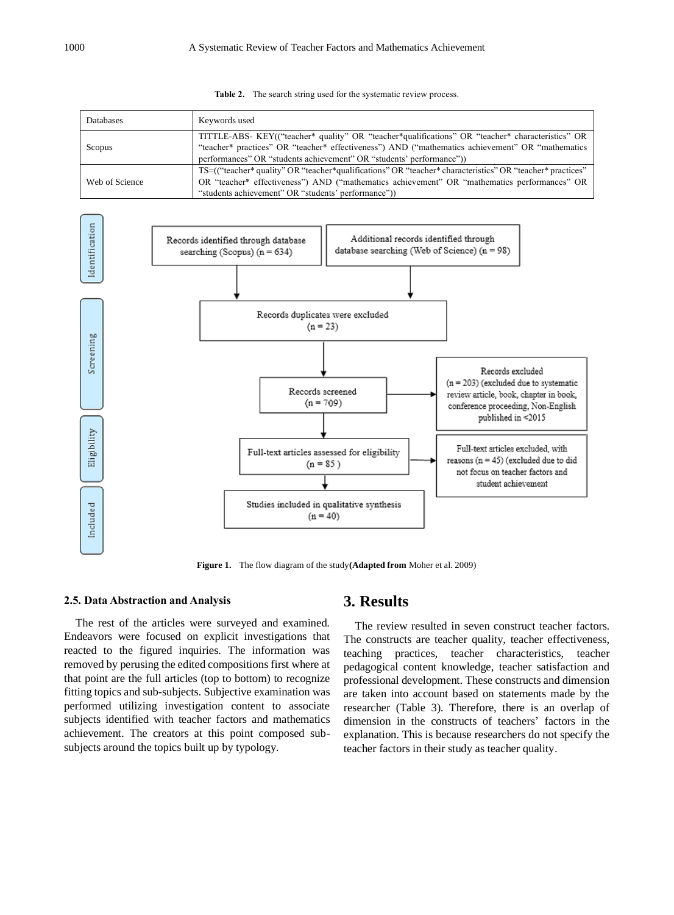|  |  |  | <b>Table 2.</b> The search string used for the systematic review process. |  |  |  |  |  |  |  |  |
|--|--|--|---------------------------------------------------------------------------|--|--|--|--|--|--|--|--|
|--|--|--|---------------------------------------------------------------------------|--|--|--|--|--|--|--|--|

| Databases      | Keywords used                                                                                                                                                                                        |
|----------------|------------------------------------------------------------------------------------------------------------------------------------------------------------------------------------------------------|
| Scopus         | TITTLE-ABS- KEY(("teacher* quality" OR "teacher*qualifications" OR "teacher* characteristics" OR<br>"teacher* practices" OR "teacher* effectiveness") AND ("mathematics achievement" OR "mathematics |
|                | performances" OR "students achievement" OR "students' performance")                                                                                                                                  |
|                | TS=(("teacher* quality" OR "teacher*qualifications" OR "teacher* characteristics" OR "teacher* practices"                                                                                            |
| Web of Science | OR "teacher* effectiveness") AND ("mathematics achievement" OR "mathematics performances" OR                                                                                                         |
|                | "students achievement" OR "students' performance")                                                                                                                                                   |



**Figure 1.** The flow diagram of the study**(Adapted from** Moher et al. 2009)

#### **2.5. Data Abstraction and Analysis**

The rest of the articles were surveyed and examined. Endeavors were focused on explicit investigations that reacted to the figured inquiries. The information was removed by perusing the edited compositions first where at that point are the full articles (top to bottom) to recognize fitting topics and sub-subjects. Subjective examination was performed utilizing investigation content to associate subjects identified with teacher factors and mathematics achievement. The creators at this point composed subsubjects around the topics built up by typology.

# **3. Results**

The review resulted in seven construct teacher factors. The constructs are teacher quality, teacher effectiveness, teaching practices, teacher characteristics, teacher pedagogical content knowledge, teacher satisfaction and professional development. These constructs and dimension are taken into account based on statements made by the researcher (Table 3). Therefore, there is an overlap of dimension in the constructs of teachers' factors in the explanation. This is because researchers do not specify the teacher factors in their study as teacher quality.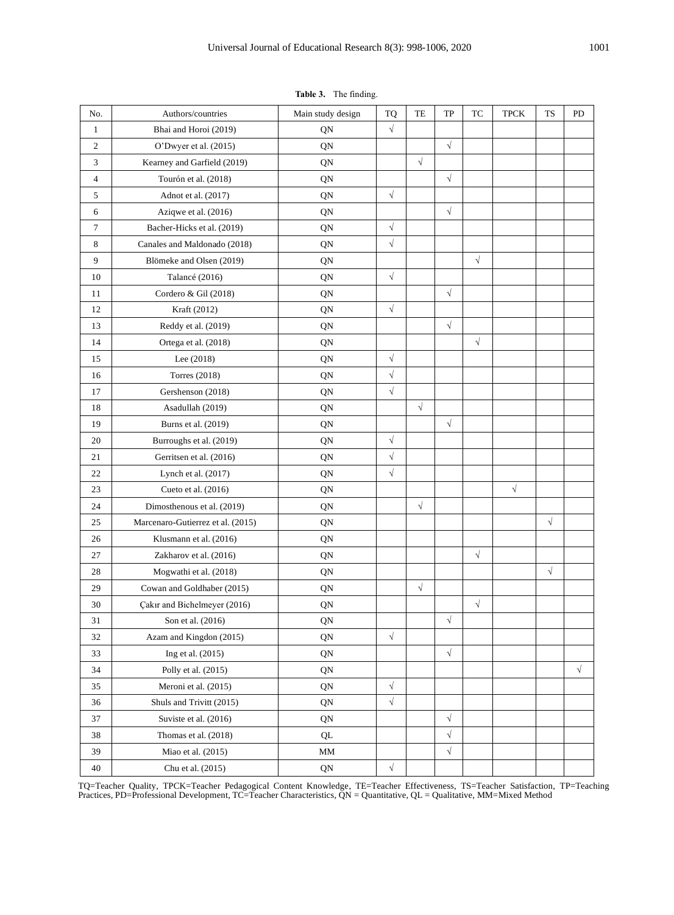| No.            | Authors/countries                 | Main study design | <b>TQ</b> | TE         | TP         | TC        | <b>TPCK</b> | <b>TS</b> | PD         |
|----------------|-----------------------------------|-------------------|-----------|------------|------------|-----------|-------------|-----------|------------|
| $\mathbf{1}$   | Bhai and Horoi (2019)             | QN                | $\sqrt{}$ |            |            |           |             |           |            |
| $\mathbf{2}$   | O'Dwyer et al. (2015)             | QN                |           |            | $\sqrt{}$  |           |             |           |            |
| 3              | Kearney and Garfield (2019)       | QN                |           | $\sqrt{}$  |            |           |             |           |            |
| $\overline{4}$ | Tourón et al. (2018)              | QN                |           |            | $\sqrt{}$  |           |             |           |            |
| 5              | Adnot et al. (2017)               | QN                | $\sqrt{}$ |            |            |           |             |           |            |
| 6              | Aziqwe et al. (2016)              | QN                |           |            | $\sqrt{}$  |           |             |           |            |
| $\overline{7}$ | Bacher-Hicks et al. (2019)        | QN                | $\sqrt{}$ |            |            |           |             |           |            |
| $\,$ 8 $\,$    | Canales and Maldonado (2018)      | QN                | $\sqrt{}$ |            |            |           |             |           |            |
| 9              | Blömeke and Olsen (2019)          | QN                |           |            |            | $\sqrt{}$ |             |           |            |
| 10             | Talancé (2016)                    | QN                | $\sqrt{}$ |            |            |           |             |           |            |
| 11             | Cordero & Gil (2018)              | QN                |           |            | $\sqrt{}$  |           |             |           |            |
| 12             | Kraft (2012)                      | QN                | $\sqrt{}$ |            |            |           |             |           |            |
| 13             | Reddy et al. (2019)               | QN                |           |            | $\sqrt{}$  |           |             |           |            |
| 14             | Ortega et al. (2018)              | QN                |           |            |            | $\sqrt{}$ |             |           |            |
| 15             | Lee (2018)                        | QN                | $\sqrt{}$ |            |            |           |             |           |            |
| 16             | <b>Torres</b> (2018)              | QN                | $\sqrt{}$ |            |            |           |             |           |            |
| 17             | Gershenson (2018)                 | QN                | $\sqrt{}$ |            |            |           |             |           |            |
| 18             | Asadullah (2019)                  | QN                |           | $\sqrt{ }$ |            |           |             |           |            |
| 19             | Burns et al. (2019)               | QN                |           |            | $\sqrt{}$  |           |             |           |            |
| 20             | Burroughs et al. (2019)           | QN                | $\sqrt{}$ |            |            |           |             |           |            |
| 21             | Gerritsen et al. (2016)           | QN                | $\sqrt{}$ |            |            |           |             |           |            |
| 22             | Lynch et al. (2017)               | QN                | $\sqrt{}$ |            |            |           |             |           |            |
| 23             | Cueto et al. (2016)               | QN                |           |            |            |           | $\sqrt{}$   |           |            |
| 24             | Dimosthenous et al. (2019)        | QN                |           | $\sqrt{}$  |            |           |             |           |            |
| 25             | Marcenaro-Gutierrez et al. (2015) | QN                |           |            |            |           |             | $\sqrt{}$ |            |
| 26             | Klusmann et al. (2016)            | QN                |           |            |            |           |             |           |            |
| 27             | Zakharov et al. (2016)            | QN                |           |            |            | $\sqrt{}$ |             |           |            |
| 28             | Mogwathi et al. (2018)            | QN                |           |            |            |           |             | $\sqrt{}$ |            |
| 29             | Cowan and Goldhaber (2015)        | QN                |           | $\sqrt{}$  |            |           |             |           |            |
| 30             | Çakır and Bichelmeyer (2016)      | QN                |           |            |            | $\sqrt{}$ |             |           |            |
| 31             | Son et al. (2016)                 | QN                |           |            | $\sqrt{}$  |           |             |           |            |
| 32             | Azam and Kingdon (2015)           | QN                | $\sqrt{}$ |            |            |           |             |           |            |
| 33             | Ing et al. $(2015)$               | QN                |           |            | $\sqrt{ }$ |           |             |           |            |
| 34             | Polly et al. (2015)               | QN                |           |            |            |           |             |           | $\sqrt{ }$ |
| 35             | Meroni et al. (2015)              | QN                | $\sqrt{}$ |            |            |           |             |           |            |
| 36             | Shuls and Trivitt (2015)          | QN                | $\sqrt{}$ |            |            |           |             |           |            |
| 37             | Suviste et al. (2016)             | QN                |           |            | $\sqrt{}$  |           |             |           |            |
| 38             | Thomas et al. (2018)              | QL                |           |            | $\sqrt{}$  |           |             |           |            |
| 39             | Miao et al. (2015)                | $\text{MM}{}$     |           |            | $\sqrt{}$  |           |             |           |            |
| 40             | Chu et al. (2015)                 | QN                | $\sqrt{}$ |            |            |           |             |           |            |

**Table 3.** The finding.

TQ=Teacher Quality, TPCK=Teacher Pedagogical Content Knowledge, TE=Teacher Effectiveness, TS=Teacher Satisfaction, TP=Teaching Practices, PD=Professional Development, TC=Teacher Characteristics, QN = Quantitative, QL = Qualitative, MM=Mixed Method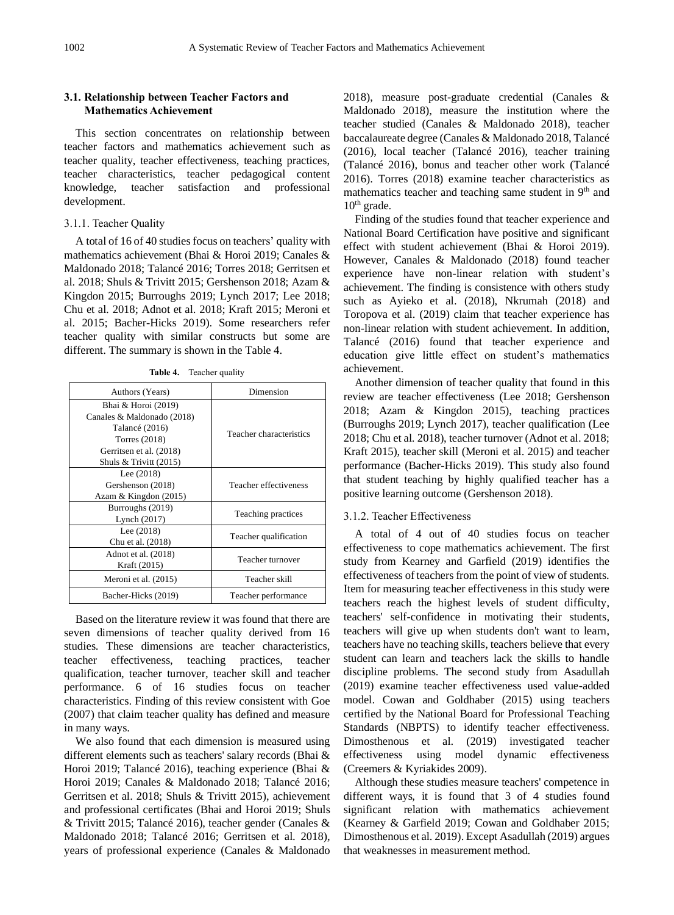## **3.1. Relationship between Teacher Factors and Mathematics Achievement**

This section concentrates on relationship between teacher factors and mathematics achievement such as teacher quality, teacher effectiveness, teaching practices, teacher characteristics, teacher pedagogical content knowledge, teacher satisfaction and professional development.

## 3.1.1. Teacher Quality

A total of 16 of 40 studies focus on teachers' quality with mathematics achievement (Bhai & Horoi 2019; Canales & Maldonado 2018; Talancé 2016; Torres 2018; Gerritsen et al. 2018; Shuls & Trivitt 2015; Gershenson 2018; Azam & Kingdon 2015; Burroughs 2019; Lynch 2017; Lee 2018; Chu et al. 2018; Adnot et al. 2018; Kraft 2015; Meroni et al. 2015; Bacher-Hicks 2019). Some researchers refer teacher quality with similar constructs but some are different. The summary is shown in the Table 4.

**Table 4.** Teacher quality

| Authors (Years)            | Dimension               |  |  |  |
|----------------------------|-------------------------|--|--|--|
| Bhai & Horoi (2019)        | Teacher characteristics |  |  |  |
| Canales & Maldonado (2018) |                         |  |  |  |
| Talancé (2016)             |                         |  |  |  |
| Torres $(2018)$            |                         |  |  |  |
| Gerritsen et al. (2018)    |                         |  |  |  |
| Shuls $&$ Trivitt (2015)   |                         |  |  |  |
| Lee $(2018)$               |                         |  |  |  |
| Gershenson (2018)          | Teacher effectiveness   |  |  |  |
| Azam & Kingdon (2015)      |                         |  |  |  |
| Burroughs (2019)           |                         |  |  |  |
| Lynch (2017)               | Teaching practices      |  |  |  |
| Lee $(2018)$               |                         |  |  |  |
| Chu et al. (2018)          | Teacher qualification   |  |  |  |
| Adnot et al. (2018)        |                         |  |  |  |
| Kraft (2015)               | Teacher turnover        |  |  |  |
| Meroni et al. (2015)       | Teacher skill           |  |  |  |
| Bacher-Hicks (2019)        | Teacher performance     |  |  |  |

Based on the literature review it was found that there are seven dimensions of teacher quality derived from 16 studies. These dimensions are teacher characteristics, teacher effectiveness, teaching practices, teacher qualification, teacher turnover, teacher skill and teacher performance. 6 of 16 studies focus on teacher characteristics. Finding of this review consistent with Goe (2007) that claim teacher quality has defined and measure in many ways.

We also found that each dimension is measured using different elements such as teachers' salary records (Bhai & Horoi 2019; Talancé 2016), teaching experience (Bhai & Horoi 2019; Canales & Maldonado 2018; Talancé 2016; Gerritsen et al. 2018; Shuls & Trivitt 2015), achievement and professional certificates (Bhai and Horoi 2019; Shuls & Trivitt 2015; Talancé 2016), teacher gender (Canales & Maldonado 2018; Talancé 2016; Gerritsen et al. 2018), years of professional experience (Canales & Maldonado 2018), measure post-graduate credential (Canales & Maldonado 2018), measure the institution where the teacher studied (Canales & Maldonado 2018), teacher baccalaureate degree (Canales & Maldonado 2018, Talancé (2016), local teacher (Talancé 2016), teacher training (Talancé 2016), bonus and teacher other work (Talancé 2016). Torres (2018) examine teacher characteristics as mathematics teacher and teaching same student in 9<sup>th</sup> and  $10<sup>th</sup>$  grade.

Finding of the studies found that teacher experience and National Board Certification have positive and significant effect with student achievement (Bhai & Horoi 2019). However, Canales & Maldonado (2018) found teacher experience have non-linear relation with student's achievement. The finding is consistence with others study such as Ayieko et al. (2018), Nkrumah (2018) and Toropova et al. (2019) claim that teacher experience has non-linear relation with student achievement. In addition, Talancé (2016) found that teacher experience and education give little effect on student's mathematics achievement.

Another dimension of teacher quality that found in this review are teacher effectiveness (Lee 2018; Gershenson 2018; Azam & Kingdon 2015), teaching practices (Burroughs 2019; Lynch 2017), teacher qualification (Lee 2018; Chu et al. 2018), teacher turnover (Adnot et al. 2018; Kraft 2015), teacher skill (Meroni et al. 2015) and teacher performance (Bacher-Hicks 2019). This study also found that student teaching by highly qualified teacher has a positive learning outcome (Gershenson 2018).

#### 3.1.2. Teacher Effectiveness

A total of 4 out of 40 studies focus on teacher effectiveness to cope mathematics achievement. The first study from Kearney and Garfield (2019) identifies the effectiveness of teachers from the point of view of students. Item for measuring teacher effectiveness in this study were teachers reach the highest levels of student difficulty, teachers' self-confidence in motivating their students, teachers will give up when students don't want to learn, teachers have no teaching skills, teachers believe that every student can learn and teachers lack the skills to handle discipline problems. The second study from Asadullah (2019) examine teacher effectiveness used value-added model. Cowan and Goldhaber (2015) using teachers certified by the National Board for Professional Teaching Standards (NBPTS) to identify teacher effectiveness. Dimosthenous et al. (2019) investigated teacher effectiveness using model dynamic effectiveness (Creemers & Kyriakides 2009).

Although these studies measure teachers' competence in different ways, it is found that 3 of 4 studies found significant relation with mathematics achievement (Kearney & Garfield 2019; Cowan and Goldhaber 2015; Dimosthenous et al. 2019). Except Asadullah (2019) argues that weaknesses in measurement method.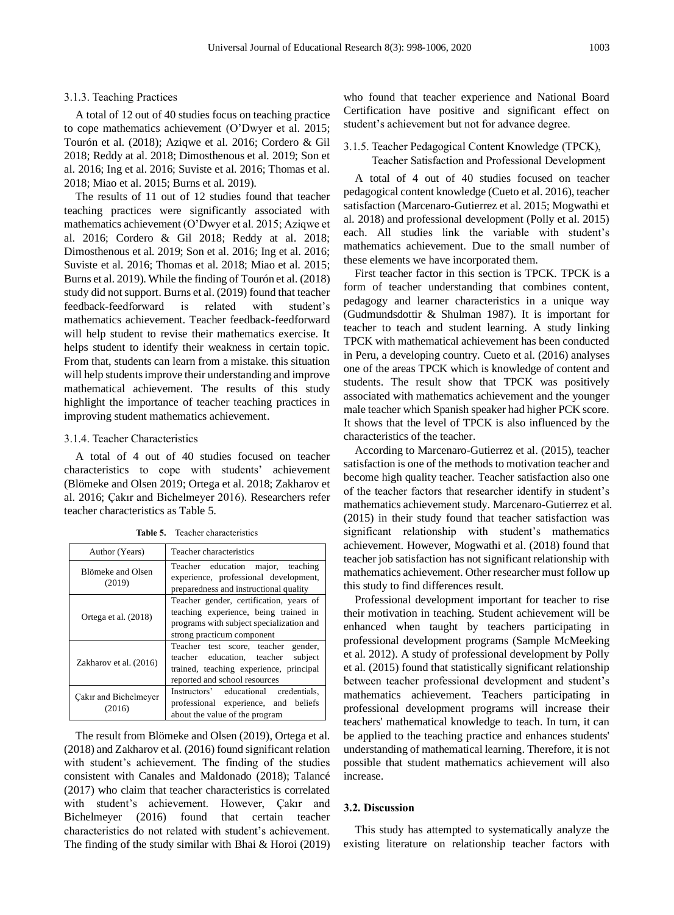### 3.1.3. Teaching Practices

A total of 12 out of 40 studies focus on teaching practice to cope mathematics achievement (O'Dwyer et al. 2015; Tourón et al. (2018); Aziqwe et al. 2016; Cordero & Gil 2018; Reddy at al. 2018; Dimosthenous et al. 2019; Son et al. 2016; Ing et al. 2016; Suviste et al. 2016; Thomas et al. 2018; Miao et al. 2015; Burns et al. 2019).

The results of 11 out of 12 studies found that teacher teaching practices were significantly associated with mathematics achievement (O'Dwyer et al. 2015; Aziqwe et al. 2016; Cordero & Gil 2018; Reddy at al. 2018; Dimosthenous et al. 2019; Son et al. 2016; Ing et al. 2016; Suviste et al. 2016; Thomas et al. 2018; Miao et al. 2015; Burns et al. 2019). While the finding of Tourón et al. (2018) study did not support. Burns et al. (2019) found that teacher feedback-feedforward is related with student's mathematics achievement. Teacher feedback-feedforward will help student to revise their mathematics exercise. It helps student to identify their weakness in certain topic. From that, students can learn from a mistake. this situation will help students improve their understanding and improve mathematical achievement. The results of this study highlight the importance of teacher teaching practices in improving student mathematics achievement.

#### 3.1.4. Teacher Characteristics

A total of 4 out of 40 studies focused on teacher characteristics to cope with students' achievement (Blömeke and Olsen 2019; Ortega et al. 2018; Zakharov et al. 2016; Çakır and Bichelmeyer 2016). Researchers refer teacher characteristics as Table 5.

| Author (Years)                  | Teacher characteristics                                                                                                                                    |  |  |  |  |  |
|---------------------------------|------------------------------------------------------------------------------------------------------------------------------------------------------------|--|--|--|--|--|
| Blömeke and Olsen<br>(2019)     | Teacher education major, teaching<br>experience, professional development,<br>preparedness and instructional quality                                       |  |  |  |  |  |
| Ortega et al. (2018)            | Teacher gender, certification, years of<br>teaching experience, being trained in<br>programs with subject specialization and<br>strong practicum component |  |  |  |  |  |
| Zakharov et al. (2016)          | Teacher test score, teacher gender,<br>teacher education, teacher<br>subject<br>trained, teaching experience, principal<br>reported and school resources   |  |  |  |  |  |
| Cakir and Bichelmeyer<br>(2016) | Instructors' educational credentials.<br>professional experience, and beliefs<br>about the value of the program                                            |  |  |  |  |  |

**Table 5.** Teacher characteristics

The result from Blömeke and Olsen (2019), Ortega et al. (2018) and Zakharov et al. (2016) found significant relation with student's achievement. The finding of the studies consistent with Canales and Maldonado (2018); Talancé (2017) who claim that teacher characteristics is correlated with student's achievement. However, Çakır and Bichelmeyer (2016) found that certain teacher characteristics do not related with student's achievement. The finding of the study similar with Bhai & Horoi (2019) who found that teacher experience and National Board Certification have positive and significant effect on student's achievement but not for advance degree.

### 3.1.5. Teacher Pedagogical Content Knowledge (TPCK), Teacher Satisfaction and Professional Development

A total of 4 out of 40 studies focused on teacher pedagogical content knowledge (Cueto et al. 2016), teacher satisfaction (Marcenaro-Gutierrez et al. 2015; Mogwathi et al. 2018) and professional development (Polly et al. 2015) each. All studies link the variable with student's mathematics achievement. Due to the small number of these elements we have incorporated them.

First teacher factor in this section is TPCK. TPCK is a form of teacher understanding that combines content, pedagogy and learner characteristics in a unique way (Gudmundsdottir & Shulman 1987). It is important for teacher to teach and student learning. A study linking TPCK with mathematical achievement has been conducted in Peru, a developing country. Cueto et al. (2016) analyses one of the areas TPCK which is knowledge of content and students. The result show that TPCK was positively associated with mathematics achievement and the younger male teacher which Spanish speaker had higher PCK score. It shows that the level of TPCK is also influenced by the characteristics of the teacher.

According to Marcenaro-Gutierrez et al. (2015), teacher satisfaction is one of the methods to motivation teacher and become high quality teacher. Teacher satisfaction also one of the teacher factors that researcher identify in student's mathematics achievement study. Marcenaro-Gutierrez et al. (2015) in their study found that teacher satisfaction was significant relationship with student's mathematics achievement. However, Mogwathi et al. (2018) found that teacher job satisfaction has not significant relationship with mathematics achievement. Other researcher must follow up this study to find differences result.

Professional development important for teacher to rise their motivation in teaching. Student achievement will be enhanced when taught by teachers participating in professional development programs (Sample McMeeking et al. 2012). A study of professional development by Polly et al. (2015) found that statistically significant relationship between teacher professional development and student's mathematics achievement. Teachers participating in professional development programs will increase their teachers' mathematical knowledge to teach. In turn, it can be applied to the teaching practice and enhances students' understanding of mathematical learning. Therefore, it is not possible that student mathematics achievement will also increase.

#### **3.2. Discussion**

This study has attempted to systematically analyze the existing literature on relationship teacher factors with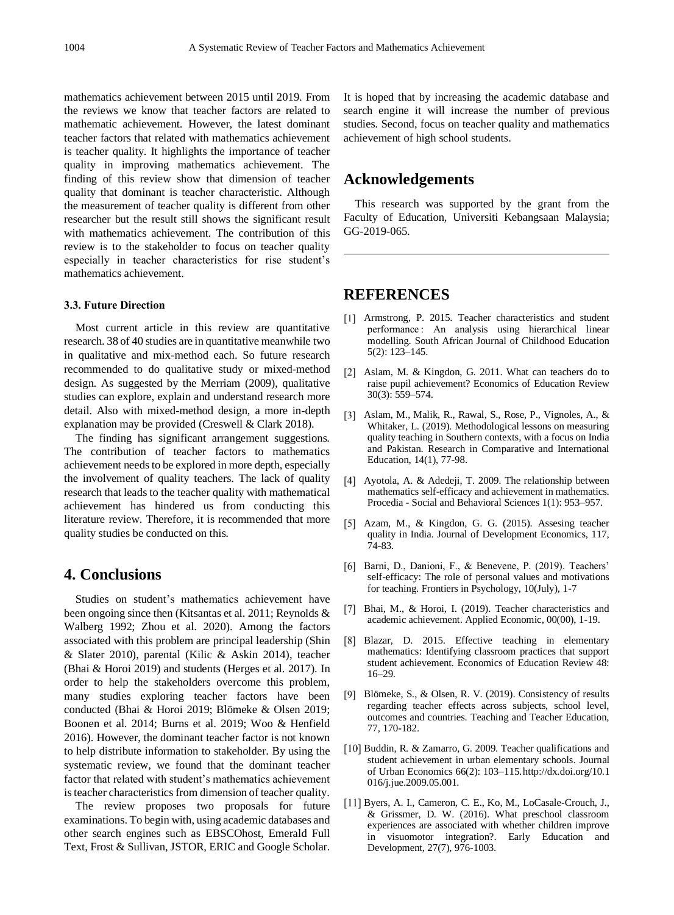mathematics achievement between 2015 until 2019. From the reviews we know that teacher factors are related to mathematic achievement. However, the latest dominant teacher factors that related with mathematics achievement is teacher quality. It highlights the importance of teacher quality in improving mathematics achievement. The finding of this review show that dimension of teacher quality that dominant is teacher characteristic. Although the measurement of teacher quality is different from other researcher but the result still shows the significant result with mathematics achievement. The contribution of this review is to the stakeholder to focus on teacher quality especially in teacher characteristics for rise student's mathematics achievement.

## **3.3. Future Direction**

Most current article in this review are quantitative research. 38 of 40 studies are in quantitative meanwhile two in qualitative and mix-method each. So future research recommended to do qualitative study or mixed-method design. As suggested by the Merriam (2009), qualitative studies can explore, explain and understand research more detail. Also with mixed-method design, a more in-depth explanation may be provided (Creswell & Clark 2018).

The finding has significant arrangement suggestions. The contribution of teacher factors to mathematics achievement needs to be explored in more depth, especially the involvement of quality teachers. The lack of quality research that leads to the teacher quality with mathematical achievement has hindered us from conducting this literature review. Therefore, it is recommended that more quality studies be conducted on this.

## **4. Conclusions**

Studies on student's mathematics achievement have been ongoing since then (Kitsantas et al. 2011; Reynolds & Walberg 1992; Zhou et al. 2020). Among the factors associated with this problem are principal leadership (Shin & Slater 2010), parental (Kilic & Askin 2014), teacher (Bhai & Horoi 2019) and students (Herges et al. 2017). In order to help the stakeholders overcome this problem, many studies exploring teacher factors have been conducted (Bhai & Horoi 2019; Blömeke & Olsen 2019; Boonen et al. 2014; Burns et al. 2019; Woo & Henfield 2016). However, the dominant teacher factor is not known to help distribute information to stakeholder. By using the systematic review, we found that the dominant teacher factor that related with student's mathematics achievement is teacher characteristics from dimension of teacher quality.

The review proposes two proposals for future examinations. To begin with, using academic databases and other search engines such as EBSCOhost, Emerald Full Text, Frost & Sullivan, JSTOR, ERIC and Google Scholar. It is hoped that by increasing the academic database and search engine it will increase the number of previous studies. Second, focus on teacher quality and mathematics achievement of high school students.

# **Acknowledgements**

This research was supported by the grant from the Faculty of Education, Universiti Kebangsaan Malaysia; GG-2019-065.

# **REFERENCES**

- [1] Armstrong, P. 2015. Teacher characteristics and student performance : An analysis using hierarchical linear modelling. South African Journal of Childhood Education 5(2): 123–145.
- [2] Aslam, M. & Kingdon, G. 2011. What can teachers do to raise pupil achievement? Economics of Education Review 30(3): 559–574.
- Aslam, M., Malik, R., Rawal, S., Rose, P., Vignoles, A., & Whitaker, L. (2019). Methodological lessons on measuring quality teaching in Southern contexts, with a focus on India and Pakistan. Research in Comparative and International Education, 14(1), 77-98.
- [4] Ayotola, A. & Adedeji, T. 2009. The relationship between mathematics self-efficacy and achievement in mathematics. Procedia - Social and Behavioral Sciences 1(1): 953–957.
- [5] Azam, M., & Kingdon, G. G. (2015). Assesing teacher quality in India. Journal of Development Economics, 117, 74-83.
- [6] Barni, D., Danioni, F., & Benevene, P. (2019). Teachers' self-efficacy: The role of personal values and motivations for teaching. Frontiers in Psychology, 10(July), 1-7
- [7] Bhai, M., & Horoi, I. (2019). Teacher characteristics and academic achievement. Applied Economic, 00(00), 1-19.
- [8] Blazar, D. 2015. Effective teaching in elementary mathematics: Identifying classroom practices that support student achievement. Economics of Education Review 48: 16–29.
- [9] Blömeke, S., & Olsen, R. V. (2019). Consistency of results regarding teacher effects across subjects, school level, outcomes and countries. Teaching and Teacher Education, 77, 170-182.
- [10] Buddin, R. & Zamarro, G. 2009. Teacher qualifications and student achievement in urban elementary schools. Journal of Urban Economics 66(2): 103–115.http://dx.doi.org/10.1 016/j.jue.2009.05.001.
- [11] Byers, A. I., Cameron, C. E., Ko, M., LoCasale-Crouch, J., & Grissmer, D. W. (2016). What preschool classroom experiences are associated with whether children improve in visuomotor integration?. Early Education and Development, 27(7), 976-1003.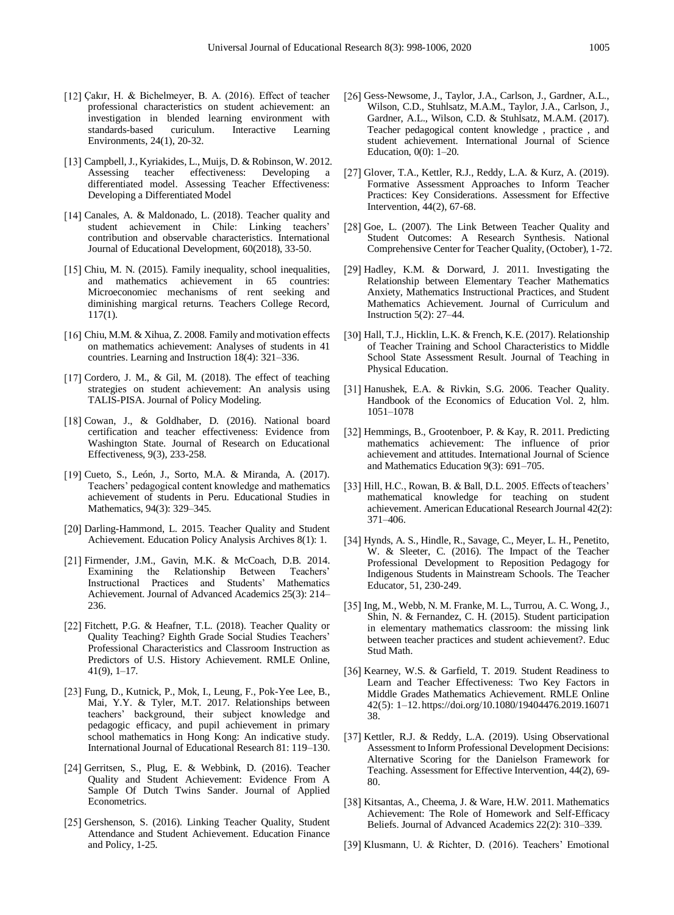- [12] Çakır, H. & Bichelmeyer, B. A. (2016). Effect of teacher professional characteristics on student achievement: an investigation in blended learning environment with standards-based curiculum. Interactive Learning Environments, 24(1), 20-32.
- [13] Campbell, J., Kyriakides, L., Muijs, D. & Robinson, W. 2012. Assessing teacher effectiveness: Developing a differentiated model. Assessing Teacher Effectiveness: Developing a Differentiated Model
- [14] Canales, A. & Maldonado, L. (2018). Teacher quality and student achievement in Chile: Linking teachers' contribution and observable characteristics. International Journal of Educational Development, 60(2018), 33-50.
- [15] Chiu, M. N. (2015). Family inequality, school inequalities, and mathematics achievement in 65 countries: Microeconomiec mechanisms of rent seeking and diminishing margical returns. Teachers College Record, 117(1).
- [16] Chiu, M.M. & Xihua, Z. 2008. Family and motivation effects on mathematics achievement: Analyses of students in 41 countries. Learning and Instruction 18(4): 321–336.
- [17] Cordero, J. M., & Gil, M.  $(2018)$ . The effect of teaching strategies on student achievement: An analysis using TALIS-PISA. Journal of Policy Modeling.
- [18] Cowan, J., & Goldhaber, D. (2016). National board certification and teacher effectiveness: Evidence from Washington State. Journal of Research on Educational Effectiveness, 9(3), 233-258.
- [19] Cueto, S., León, J., Sorto, M.A. & Miranda, A. (2017). Teachers' pedagogical content knowledge and mathematics achievement of students in Peru. Educational Studies in Mathematics, 94(3): 329–345.
- [20] Darling-Hammond, L. 2015. Teacher Quality and Student Achievement. Education Policy Analysis Archives 8(1): 1.
- Firmender, J.M., Gavin, M.K. & McCoach, D.B. 2014. Examining the Relationship Between Teachers' Instructional Practices and Students' Mathematics Achievement. Journal of Advanced Academics 25(3): 214– 236.
- [22] Fitchett, P.G. & Heafner, T.L. (2018). Teacher Quality or Quality Teaching? Eighth Grade Social Studies Teachers' Professional Characteristics and Classroom Instruction as Predictors of U.S. History Achievement. RMLE Online, 41(9), 1–17.
- [23] Fung, D., Kutnick, P., Mok, I., Leung, F., Pok-Yee Lee, B., Mai, Y.Y. & Tyler, M.T. 2017. Relationships between teachers' background, their subject knowledge and pedagogic efficacy, and pupil achievement in primary school mathematics in Hong Kong: An indicative study. International Journal of Educational Research 81: 119–130.
- [24] Gerritsen, S., Plug, E. & Webbink, D. (2016). Teacher Quality and Student Achievement: Evidence From A Sample Of Dutch Twins Sander. Journal of Applied Econometrics.
- [25] Gershenson, S. (2016). Linking Teacher Quality, Student Attendance and Student Achievement. Education Finance and Policy, 1-25.
- [26] Gess-Newsome, J., Taylor, J.A., Carlson, J., Gardner, A.L., Wilson, C.D., Stuhlsatz, M.A.M., Taylor, J.A., Carlson, J., Gardner, A.L., Wilson, C.D. & Stuhlsatz, M.A.M. (2017). Teacher pedagogical content knowledge , practice , and student achievement. International Journal of Science Education, 0(0): 1–20.
- [27] Glover, T.A., Kettler, R.J., Reddy, L.A. & Kurz, A. (2019). Formative Assessment Approaches to Inform Teacher Practices: Key Considerations. Assessment for Effective Intervention, 44(2), 67-68.
- [28] Goe, L. (2007). The Link Between Teacher Quality and Student Outcomes: A Research Synthesis. National Comprehensive Center for Teacher Quality, (October), 1-72.
- [29] Hadley, K.M. & Dorward, J. 2011. Investigating the Relationship between Elementary Teacher Mathematics Anxiety, Mathematics Instructional Practices, and Student Mathematics Achievement. Journal of Curriculum and Instruction 5(2): 27–44.
- [30] Hall, T.J., Hicklin, L.K. & French, K.E. (2017). Relationship of Teacher Training and School Characteristics to Middle School State Assessment Result. Journal of Teaching in Physical Education.
- [31] Hanushek, E.A. & Rivkin, S.G. 2006. Teacher Quality. Handbook of the Economics of Education Vol. 2, hlm. 1051–1078
- [32] Hemmings, B., Grootenboer, P. & Kay, R. 2011. Predicting mathematics achievement: The influence of prior achievement and attitudes. International Journal of Science and Mathematics Education 9(3): 691–705.
- [33] Hill, H.C., Rowan, B. & Ball, D.L. 2005. Effects of teachers' mathematical knowledge for teaching on student achievement. American Educational Research Journal 42(2): 371–406.
- [34] Hynds, A. S., Hindle, R., Savage, C., Meyer, L. H., Penetito, W. & Sleeter, C. (2016). The Impact of the Teacher Professional Development to Reposition Pedagogy for Indigenous Students in Mainstream Schools. The Teacher Educator, 51, 230-249.
- [35] Ing, M., Webb, N. M. Franke, M. L., Turrou, A. C. Wong, J., Shin, N. & Fernandez, C. H. (2015). Student participation in elementary mathematics classroom: the missing link between teacher practices and student achievement?. Educ Stud Math.
- [36] Kearney, W.S. & Garfield, T. 2019. Student Readiness to Learn and Teacher Effectiveness: Two Key Factors in Middle Grades Mathematics Achievement. RMLE Online 42(5): 1–12.https://doi.org/10.1080/19404476.2019.16071 38.
- [37] Kettler, R.J. & Reddy, L.A. (2019). Using Observational Assessment to Inform Professional Development Decisions: Alternative Scoring for the Danielson Framework for Teaching. Assessment for Effective Intervention, 44(2), 69- 80.
- [38] Kitsantas, A., Cheema, J. & Ware, H.W. 2011. Mathematics Achievement: The Role of Homework and Self-Efficacy Beliefs. Journal of Advanced Academics 22(2): 310–339.
- [39] Klusmann, U. & Richter, D. (2016). Teachers' Emotional